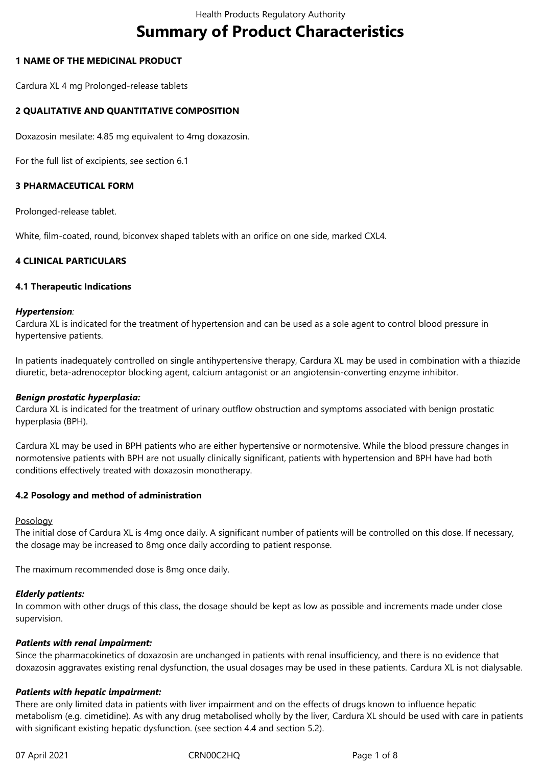# **Summary of Product Characteristics**

## **1 NAME OF THE MEDICINAL PRODUCT**

Cardura XL 4 mg Prolonged-release tablets

## **2 QUALITATIVE AND QUANTITATIVE COMPOSITION**

Doxazosin mesilate: 4.85 mg equivalent to 4mg doxazosin.

For the full list of excipients, see section 6.1

## **3 PHARMACEUTICAL FORM**

Prolonged-release tablet.

White, film-coated, round, biconvex shaped tablets with an orifice on one side, marked CXL4.

## **4 CLINICAL PARTICULARS**

#### **4.1 Therapeutic Indications**

#### *Hypertension:*

Cardura XL is indicated for the treatment of hypertension and can be used as a sole agent to control blood pressure in hypertensive patients.

In patients inadequately controlled on single antihypertensive therapy, Cardura XL may be used in combination with a thiazide diuretic, beta-adrenoceptor blocking agent, calcium antagonist or an angiotensin-converting enzyme inhibitor.

#### *Benign prostatic hyperplasia:*

Cardura XL is indicated for the treatment of urinary outflow obstruction and symptoms associated with benign prostatic hyperplasia (BPH).

Cardura XL may be used in BPH patients who are either hypertensive or normotensive. While the blood pressure changes in normotensive patients with BPH are not usually clinically significant, patients with hypertension and BPH have had both conditions effectively treated with doxazosin monotherapy.

#### **4.2 Posology and method of administration**

#### Posology

The initial dose of Cardura XL is 4mg once daily. A significant number of patients will be controlled on this dose. If necessary, the dosage may be increased to 8mg once daily according to patient response.

The maximum recommended dose is 8mg once daily.

#### *Elderly patients:*

In common with other drugs of this class, the dosage should be kept as low as possible and increments made under close supervision.

#### *Patients with renal impairment:*

Since the pharmacokinetics of doxazosin are unchanged in patients with renal insufficiency, and there is no evidence that doxazosin aggravates existing renal dysfunction, the usual dosages may be used in these patients. Cardura XL is not dialysable.

#### *Patients with hepatic impairment:*

There are only limited data in patients with liver impairment and on the effects of drugs known to influence hepatic metabolism (e.g. cimetidine). As with any drug metabolised wholly by the liver, Cardura XL should be used with care in patients with significant existing hepatic dysfunction. (see section 4.4 and section 5.2).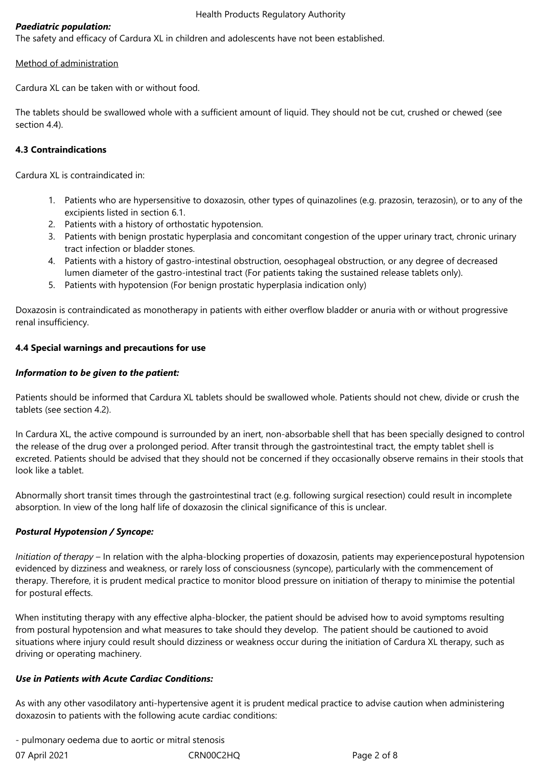# *Paediatric population:*

The safety and efficacy of Cardura XL in children and adolescents have not been established.

## Method of administration

Cardura XL can be taken with or without food.

The tablets should be swallowed whole with a sufficient amount of liquid. They should not be cut, crushed or chewed (see section 4.4).

## **4.3 Contraindications**

Cardura XL is contraindicated in:

- 1. Patients who are hypersensitive to doxazosin, other types of quinazolines (e.g. prazosin, terazosin), or to any of the excipients listed in section 6.1.
- 2. Patients with a history of orthostatic hypotension.
- 3. Patients with benign prostatic hyperplasia and concomitant congestion of the upper urinary tract, chronic urinary tract infection or bladder stones.
- 4. Patients with a history of gastro-intestinal obstruction, oesophageal obstruction, or any degree of decreased lumen diameter of the gastro-intestinal tract (For patients taking the sustained release tablets only).
- 5. Patients with hypotension (For benign prostatic hyperplasia indication only)

Doxazosin is contraindicated as monotherapy in patients with either overflow bladder or anuria with or without progressive renal insufficiency.

## **4.4 Special warnings and precautions for use**

## *Information to be given to the patient:*

Patients should be informed that Cardura XL tablets should be swallowed whole. Patients should not chew, divide or crush the tablets (see section 4.2).

In Cardura XL, the active compound is surrounded by an inert, non-absorbable shell that has been specially designed to control the release of the drug over a prolonged period. After transit through the gastrointestinal tract, the empty tablet shell is excreted. Patients should be advised that they should not be concerned if they occasionally observe remains in their stools that look like a tablet.

Abnormally short transit times through the gastrointestinal tract (e.g. following surgical resection) could result in incomplete absorption. In view of the long half life of doxazosin the clinical significance of this is unclear.

# *Postural Hypotension / Syncope:*

*Initiation of therapy* – In relation with the alpha-blocking properties of doxazosin, patients may experiencepostural hypotension evidenced by dizziness and weakness, or rarely loss of consciousness (syncope), particularly with the commencement of therapy. Therefore, it is prudent medical practice to monitor blood pressure on initiation of therapy to minimise the potential for postural effects.

When instituting therapy with any effective alpha-blocker, the patient should be advised how to avoid symptoms resulting from postural hypotension and what measures to take should they develop. The patient should be cautioned to avoid situations where injury could result should dizziness or weakness occur during the initiation of Cardura XL therapy, such as driving or operating machinery.

#### *Use in Patients with Acute Cardiac Conditions:*

As with any other vasodilatory anti-hypertensive agent it is prudent medical practice to advise caution when administering doxazosin to patients with the following acute cardiac conditions:

07 April 2021 CRN00C2HQ CRNOOC2HQ Page 2 of 8 - pulmonary oedema due to aortic or mitral stenosis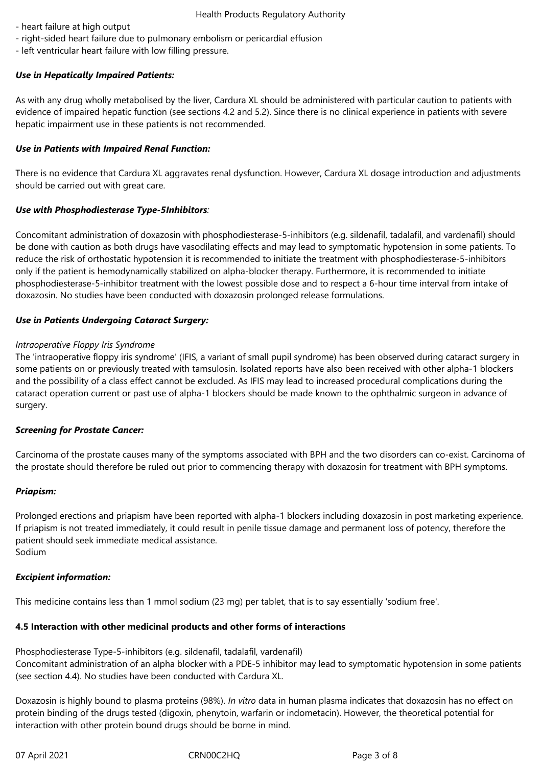- heart failure at high output
- right-sided heart failure due to pulmonary embolism or pericardial effusion
- left ventricular heart failure with low filling pressure.

# *Use in Hepatically Impaired Patients:*

As with any drug wholly metabolised by the liver, Cardura XL should be administered with particular caution to patients with evidence of impaired hepatic function (see sections 4.2 and 5.2). Since there is no clinical experience in patients with severe hepatic impairment use in these patients is not recommended.

## *Use in Patients with Impaired Renal Function:*

There is no evidence that Cardura XL aggravates renal dysfunction. However, Cardura XL dosage introduction and adjustments should be carried out with great care.

## *Use with Phosphodiesterase Type-5Inhibitors:*

Concomitant administration of doxazosin with phosphodiesterase-5-inhibitors (e.g. sildenafil, tadalafil, and vardenafil) should be done with caution as both drugs have vasodilating effects and may lead to symptomatic hypotension in some patients. To reduce the risk of orthostatic hypotension it is recommended to initiate the treatment with phosphodiesterase-5-inhibitors only if the patient is hemodynamically stabilized on alpha-blocker therapy. Furthermore, it is recommended to initiate phosphodiesterase-5-inhibitor treatment with the lowest possible dose and to respect a 6-hour time interval from intake of doxazosin. No studies have been conducted with doxazosin prolonged release formulations.

## *Use in Patients Undergoing Cataract Surgery:*

## *Intraoperative Floppy Iris Syndrome*

The 'intraoperative floppy iris syndrome' (IFIS, a variant of small pupil syndrome) has been observed during cataract surgery in some patients on or previously treated with tamsulosin. Isolated reports have also been received with other alpha-1 blockers and the possibility of a class effect cannot be excluded. As IFIS may lead to increased procedural complications during the cataract operation current or past use of alpha-1 blockers should be made known to the ophthalmic surgeon in advance of surgery.

#### *Screening for Prostate Cancer:*

Carcinoma of the prostate causes many of the symptoms associated with BPH and the two disorders can co-exist. Carcinoma of the prostate should therefore be ruled out prior to commencing therapy with doxazosin for treatment with BPH symptoms.

#### *Priapism:*

Prolonged erections and priapism have been reported with alpha-1 blockers including doxazosin in post marketing experience. If priapism is not treated immediately, it could result in penile tissue damage and permanent loss of potency, therefore the patient should seek immediate medical assistance. Sodium

#### *Excipient information:*

This medicine contains less than 1 mmol sodium (23 mg) per tablet, that is to say essentially 'sodium free'.

# **4.5 Interaction with other medicinal products and other forms of interactions**

Phosphodiesterase Type-5-inhibitors (e.g. sildenafil, tadalafil, vardenafil) Concomitant administration of an alpha blocker with a PDE-5 inhibitor may lead to symptomatic hypotension in some patients (see section 4.4). No studies have been conducted with Cardura XL.

Doxazosin is highly bound to plasma proteins (98%). *In vitro* data in human plasma indicates that doxazosin has no effect on protein binding of the drugs tested (digoxin, phenytoin, warfarin or indometacin). However, the theoretical potential for interaction with other protein bound drugs should be borne in mind.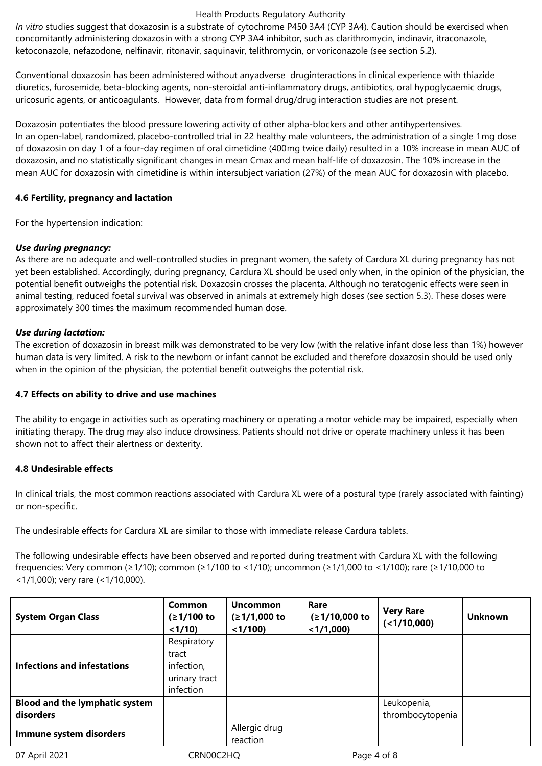#### Health Products Regulatory Authority

*In vitro* studies suggest that doxazosin is a substrate of cytochrome P450 3A4 (CYP 3A4). Caution should be exercised when concomitantly administering doxazosin with a strong CYP 3A4 inhibitor, such as clarithromycin, indinavir, itraconazole, ketoconazole, nefazodone, nelfinavir, ritonavir, saquinavir, telithromycin, or voriconazole (see section 5.2).

Conventional doxazosin has been administered without anyadverse druginteractions in clinical experience with thiazide diuretics, furosemide, beta-blocking agents, non-steroidal anti-inflammatory drugs, antibiotics, oral hypoglycaemic drugs, uricosuric agents, or anticoagulants. However, data from formal drug/drug interaction studies are not present.

Doxazosin potentiates the blood pressure lowering activity of other alpha-blockers and other antihypertensives. In an open-label, randomized, placebo-controlled trial in 22 healthy male volunteers, the administration of a single 1mg dose of doxazosin on day 1 of a four-day regimen of oral cimetidine (400mg twice daily) resulted in a 10% increase in mean AUC of doxazosin, and no statistically significant changes in mean Cmax and mean half-life of doxazosin. The 10% increase in the mean AUC for doxazosin with cimetidine is within intersubject variation (27%) of the mean AUC for doxazosin with placebo.

# **4.6 Fertility, pregnancy and lactation**

For the hypertension indication:

# *Use during pregnancy:*

As there are no adequate and well-controlled studies in pregnant women, the safety of Cardura XL during pregnancy has not yet been established. Accordingly, during pregnancy, Cardura XL should be used only when, in the opinion of the physician, the potential benefit outweighs the potential risk. Doxazosin crosses the placenta. Although no teratogenic effects were seen in animal testing, reduced foetal survival was observed in animals at extremely high doses (see section 5.3). These doses were approximately 300 times the maximum recommended human dose.

# *Use during lactation:*

The excretion of doxazosin in breast milk was demonstrated to be very low (with the relative infant dose less than 1%) however human data is very limited. A risk to the newborn or infant cannot be excluded and therefore doxazosin should be used only when in the opinion of the physician, the potential benefit outweighs the potential risk.

# **4.7 Effects on ability to drive and use machines**

The ability to engage in activities such as operating machinery or operating a motor vehicle may be impaired, especially when initiating therapy. The drug may also induce drowsiness. Patients should not drive or operate machinery unless it has been shown not to affect their alertness or dexterity.

# **4.8 Undesirable effects**

In clinical trials, the most common reactions associated with Cardura XL were of a postural type (rarely associated with fainting) or non-specific.

The undesirable effects for Cardura XL are similar to those with immediate release Cardura tablets.

The following undesirable effects have been observed and reported during treatment with Cardura XL with the following frequencies: Very common (≥1/10); common (≥1/100 to <1/10); uncommon (≥1/1,000 to <1/100); rare (≥1/10,000 to <1/1,000); very rare (<1/10,000).

| <b>System Organ Class</b>                          | Common<br>$(≥1/100$ to<br>$<1/10$ )                              | <b>Uncommon</b><br>$(≥1/1,000$ to<br>$<$ 1/100) | Rare<br>(≥1/10,000 to<br>$<$ 1/1,000) | <b>Very Rare</b><br>(<1/10,000) | <b>Unknown</b> |
|----------------------------------------------------|------------------------------------------------------------------|-------------------------------------------------|---------------------------------------|---------------------------------|----------------|
| Infections and infestations                        | Respiratory<br>tract<br>infection,<br>urinary tract<br>infection |                                                 |                                       |                                 |                |
| <b>Blood and the lymphatic system</b><br>disorders |                                                                  |                                                 |                                       | Leukopenia,<br>thrombocytopenia |                |
| Immune system disorders                            |                                                                  | Allergic drug<br>reaction                       |                                       |                                 |                |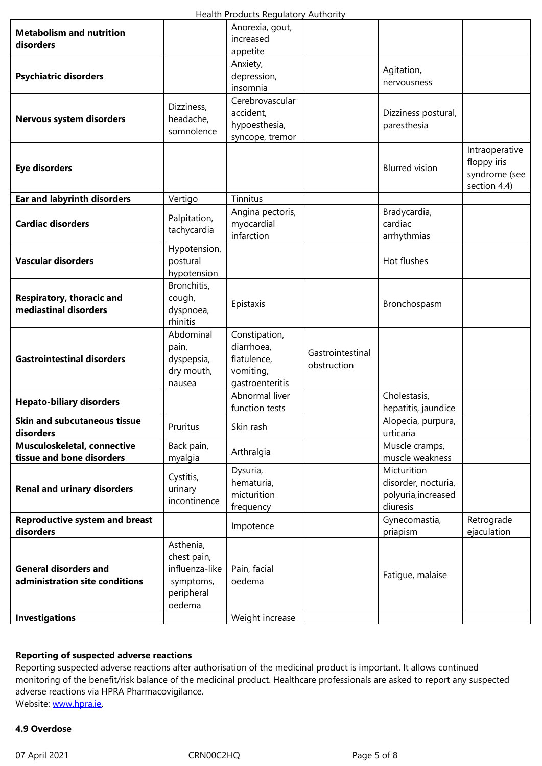| aisoraers                             |                         | appetite                         |                  |                                     |                               |
|---------------------------------------|-------------------------|----------------------------------|------------------|-------------------------------------|-------------------------------|
|                                       |                         | Anxiety,                         |                  |                                     |                               |
| <b>Psychiatric disorders</b>          |                         | depression,                      |                  | Agitation,                          |                               |
|                                       |                         | insomnia                         |                  | nervousness                         |                               |
|                                       |                         | Cerebrovascular                  |                  |                                     |                               |
|                                       | Dizziness,              | accident,                        |                  | Dizziness postural,                 |                               |
| Nervous system disorders              | headache,               | hypoesthesia,                    |                  | paresthesia                         |                               |
|                                       | somnolence              | syncope, tremor                  |                  |                                     |                               |
|                                       |                         |                                  |                  |                                     | Intraoperative<br>floppy iris |
| <b>Eye disorders</b>                  |                         |                                  |                  | <b>Blurred</b> vision               | syndrome (see                 |
| <b>Ear and labyrinth disorders</b>    | Vertigo                 | Tinnitus                         |                  |                                     | section 4.4)                  |
|                                       |                         | Angina pectoris,                 |                  | Bradycardia,                        |                               |
| <b>Cardiac disorders</b>              | Palpitation,            | myocardial                       |                  | cardiac                             |                               |
|                                       | tachycardia             | infarction                       |                  | arrhythmias                         |                               |
|                                       | Hypotension,            |                                  |                  |                                     |                               |
| <b>Vascular disorders</b>             | postural                |                                  |                  | Hot flushes                         |                               |
|                                       | hypotension             |                                  |                  |                                     |                               |
|                                       | Bronchitis,             |                                  |                  |                                     |                               |
| Respiratory, thoracic and             | cough,                  |                                  |                  |                                     |                               |
| mediastinal disorders                 | dyspnoea,               | Epistaxis                        |                  | Bronchospasm                        |                               |
|                                       | rhinitis                |                                  |                  |                                     |                               |
|                                       | Abdominal               | Constipation,                    |                  |                                     |                               |
| <b>Gastrointestinal disorders</b>     | pain,                   | diarrhoea,                       | Gastrointestinal |                                     |                               |
|                                       | dyspepsia,              | flatulence,                      | obstruction      |                                     |                               |
|                                       | dry mouth,              | vomiting,                        |                  |                                     |                               |
|                                       | nausea                  | gastroenteritis                  |                  |                                     |                               |
| <b>Hepato-biliary disorders</b>       |                         | Abnormal liver<br>function tests |                  | Cholestasis,<br>hepatitis, jaundice |                               |
| <b>Skin and subcutaneous tissue</b>   |                         |                                  |                  | Alopecia, purpura,                  |                               |
| disorders                             | Pruritus                | Skin rash                        |                  | urticaria                           |                               |
| Musculoskeletal, connective           | Back pain,              |                                  |                  | Muscle cramps,                      |                               |
| tissue and bone disorders             | myalgia                 | Arthralgia                       |                  | muscle weakness                     |                               |
|                                       |                         | Dysuria,                         |                  | Micturition                         |                               |
| <b>Renal and urinary disorders</b>    | Cystitis,               | hematuria,                       |                  | disorder, nocturia,                 |                               |
|                                       | urinary<br>incontinence | micturition                      |                  | polyuria, increased                 |                               |
|                                       |                         | frequency                        |                  | diuresis                            |                               |
| <b>Reproductive system and breast</b> |                         | Impotence                        |                  | Gynecomastia,                       | Retrograde                    |
| disorders                             |                         |                                  |                  | priapism                            | ejaculation                   |
|                                       | Asthenia,               |                                  |                  |                                     |                               |
|                                       | chest pain,             |                                  |                  |                                     |                               |
| <b>General disorders and</b>          | influenza-like          | Pain, facial                     |                  | Fatigue, malaise                    |                               |
| administration site conditions        | symptoms,               | oedema                           |                  |                                     |                               |
|                                       | peripheral              |                                  |                  |                                     |                               |
|                                       | oedema                  |                                  |                  |                                     |                               |
| <b>Investigations</b>                 |                         | Weight increase                  |                  |                                     |                               |

#### **Reporting of suspected adverse reactions**

Reporting suspected adverse reactions after authorisation of the medicinal product is important. It allows continued monitoring of the benefit/risk balance of the medicinal product. Healthcare professionals are asked to report any suspected adverse reactions via HPRA Pharmacovigilance. Website: www.hpra.ie.

### **4.9 Overdose**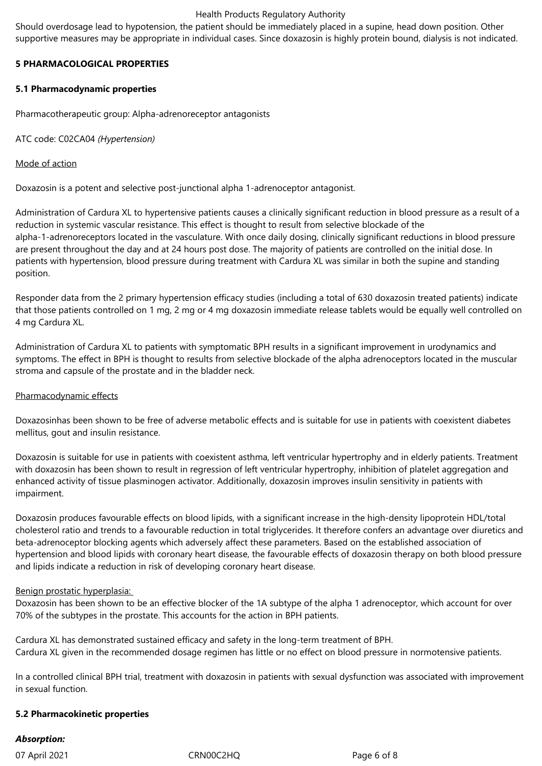#### Health Products Regulatory Authority

Should overdosage lead to hypotension, the patient should be immediately placed in a supine, head down position. Other supportive measures may be appropriate in individual cases. Since doxazosin is highly protein bound, dialysis is not indicated.

## **5 PHARMACOLOGICAL PROPERTIES**

## **5.1 Pharmacodynamic properties**

Pharmacotherapeutic group: Alpha-adrenoreceptor antagonists

ATC code: C02CA04 *(Hypertension)*

## Mode of action

Doxazosin is a potent and selective post-junctional alpha 1-adrenoceptor antagonist.

Administration of Cardura XL to hypertensive patients causes a clinically significant reduction in blood pressure as a result of a reduction in systemic vascular resistance. This effect is thought to result from selective blockade of the alpha-1-adrenoreceptors located in the vasculature. With once daily dosing, clinically significant reductions in blood pressure are present throughout the day and at 24 hours post dose. The majority of patients are controlled on the initial dose. In patients with hypertension, blood pressure during treatment with Cardura XL was similar in both the supine and standing position.

Responder data from the 2 primary hypertension efficacy studies (including a total of 630 doxazosin treated patients) indicate that those patients controlled on 1 mg, 2 mg or 4 mg doxazosin immediate release tablets would be equally well controlled on 4 mg Cardura XL.

Administration of Cardura XL to patients with symptomatic BPH results in a significant improvement in urodynamics and symptoms. The effect in BPH is thought to results from selective blockade of the alpha adrenoceptors located in the muscular stroma and capsule of the prostate and in the bladder neck.

#### Pharmacodynamic effects

Doxazosinhas been shown to be free of adverse metabolic effects and is suitable for use in patients with coexistent diabetes mellitus, gout and insulin resistance.

Doxazosin is suitable for use in patients with coexistent asthma, left ventricular hypertrophy and in elderly patients. Treatment with doxazosin has been shown to result in regression of left ventricular hypertrophy, inhibition of platelet aggregation and enhanced activity of tissue plasminogen activator. Additionally, doxazosin improves insulin sensitivity in patients with impairment.

Doxazosin produces favourable effects on blood lipids, with a significant increase in the high-density lipoprotein HDL/total cholesterol ratio and trends to a favourable reduction in total triglycerides. It therefore confers an advantage over diuretics and beta-adrenoceptor blocking agents which adversely affect these parameters. Based on the established association of hypertension and blood lipids with coronary heart disease, the favourable effects of doxazosin therapy on both blood pressure and lipids indicate a reduction in risk of developing coronary heart disease.

# Benign prostatic hyperplasia:

Doxazosin has been shown to be an effective blocker of the 1A subtype of the alpha 1 adrenoceptor, which account for over 70% of the subtypes in the prostate. This accounts for the action in BPH patients.

Cardura XL has demonstrated sustained efficacy and safety in the long-term treatment of BPH. Cardura XL given in the recommended dosage regimen has little or no effect on blood pressure in normotensive patients.

In a controlled clinical BPH trial, treatment with doxazosin in patients with sexual dysfunction was associated with improvement in sexual function.

#### **5.2 Pharmacokinetic properties**

# *Absorption:*

07 April 2021 CRN00C2HQ CRNOOC2HQ Page 6 of 8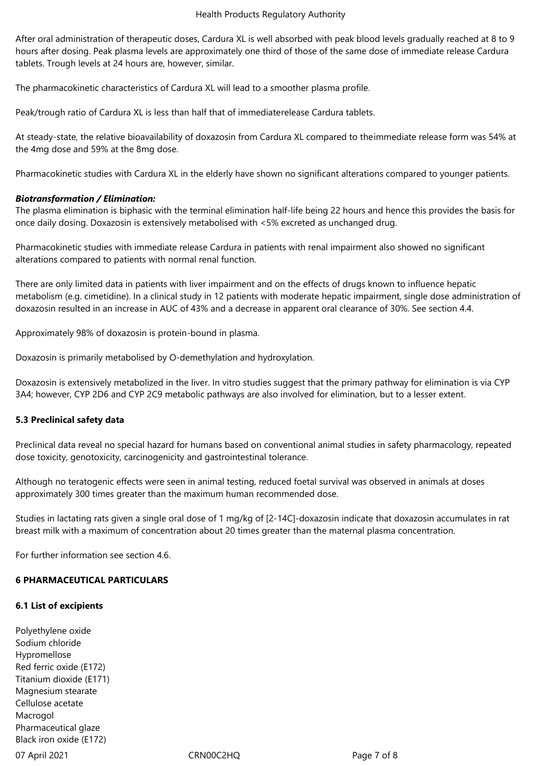After oral administration of therapeutic doses, Cardura XL is well absorbed with peak blood levels gradually reached at 8 to 9 hours after dosing. Peak plasma levels are approximately one third of those of the same dose of immediate release Cardura tablets. Trough levels at 24 hours are, however, similar.

The pharmacokinetic characteristics of Cardura XL will lead to a smoother plasma profile.

Peak/trough ratio of Cardura XL is less than half that of immediaterelease Cardura tablets.

At steady-state, the relative bioavailability of doxazosin from Cardura XL compared to theimmediate release form was 54% at the 4mg dose and 59% at the 8mg dose.

Pharmacokinetic studies with Cardura XL in the elderly have shown no significant alterations compared to younger patients.

## *Biotransformation / Elimination:*

The plasma elimination is biphasic with the terminal elimination half-life being 22 hours and hence this provides the basis for once daily dosing. Doxazosin is extensively metabolised with <5% excreted as unchanged drug.

Pharmacokinetic studies with immediate release Cardura in patients with renal impairment also showed no significant alterations compared to patients with normal renal function.

There are only limited data in patients with liver impairment and on the effects of drugs known to influence hepatic metabolism (e.g. cimetidine). In a clinical study in 12 patients with moderate hepatic impairment, single dose administration of doxazosin resulted in an increase in AUC of 43% and a decrease in apparent oral clearance of 30%. See section 4.4.

Approximately 98% of doxazosin is protein-bound in plasma.

Doxazosin is primarily metabolised by O-demethylation and hydroxylation.

Doxazosin is extensively metabolized in the liver. In vitro studies suggest that the primary pathway for elimination is via CYP 3A4; however, CYP 2D6 and CYP 2C9 metabolic pathways are also involved for elimination, but to a lesser extent.

# **5.3 Preclinical safety data**

Preclinical data reveal no special hazard for humans based on conventional animal studies in safety pharmacology, repeated dose toxicity, genotoxicity, carcinogenicity and gastrointestinal tolerance.

Although no teratogenic effects were seen in animal testing, reduced foetal survival was observed in animals at doses approximately 300 times greater than the maximum human recommended dose.

Studies in lactating rats given a single oral dose of 1 mg/kg of [2-14C]-doxazosin indicate that doxazosin accumulates in rat breast milk with a maximum of concentration about 20 times greater than the maternal plasma concentration.

For further information see section 4.6.

# **6 PHARMACEUTICAL PARTICULARS**

#### **6.1 List of excipients**

Polyethylene oxide Sodium chloride Hypromellose Red ferric oxide (E172) Titanium dioxide (E171) Magnesium stearate Cellulose acetate Macrogol Pharmaceutical glaze Black iron oxide (E172)

07 April 2021 CRN00C2HQ CRNOOC2HQ Page 7 of 8